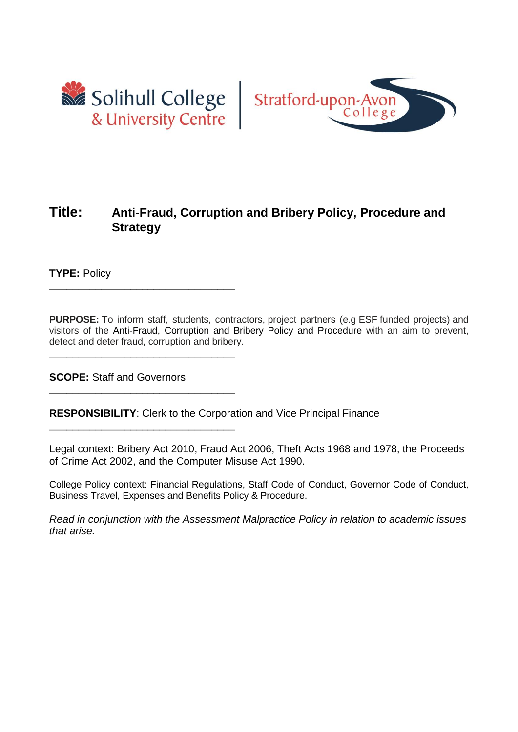

**\_\_\_\_\_\_\_\_\_\_\_\_\_\_\_\_\_\_\_\_\_\_\_\_\_\_\_\_\_\_\_\_**

**\_\_\_\_\_\_\_\_\_\_\_\_\_\_\_\_\_\_\_\_\_\_\_\_\_\_\_\_\_\_\_\_**

**\_\_\_\_\_\_\_\_\_\_\_\_\_\_\_\_\_\_\_\_\_\_\_\_\_\_\_\_\_\_\_\_**

\_\_\_\_\_\_\_\_\_\_\_\_\_\_\_\_\_\_\_\_\_\_\_\_\_\_\_\_\_\_\_\_



# **Title: Anti-Fraud, Corruption and Bribery Policy, Procedure and Strategy**

**TYPE:** Policy

**PURPOSE:** To inform staff, students, contractors, project partners (e.g ESF funded projects) and visitors of the Anti-Fraud, Corruption and Bribery Policy and Procedure with an aim to prevent, detect and deter fraud, corruption and bribery.

**SCOPE:** Staff and Governors

**RESPONSIBILITY**: Clerk to the Corporation and Vice Principal Finance

Legal context: Bribery Act 2010, Fraud Act 2006, Theft Acts 1968 and 1978, the Proceeds of Crime Act 2002, and the Computer Misuse Act 1990.

College Policy context: Financial Regulations, Staff Code of Conduct, Governor Code of Conduct, Business Travel, Expenses and Benefits Policy & Procedure.

*Read in conjunction with the Assessment Malpractice Policy in relation to academic issues that arise.*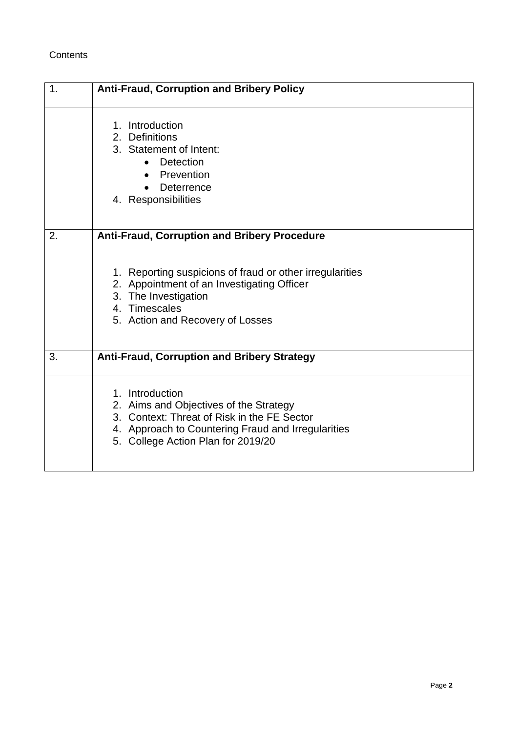## **Contents**

| 1. | <b>Anti-Fraud, Corruption and Bribery Policy</b>                                                                                                                                                     |
|----|------------------------------------------------------------------------------------------------------------------------------------------------------------------------------------------------------|
|    | 1. Introduction<br>2. Definitions<br>3. Statement of Intent:<br>Detection<br>$\bullet$<br>Prevention<br>Deterrence<br>4. Responsibilities                                                            |
| 2. | <b>Anti-Fraud, Corruption and Bribery Procedure</b>                                                                                                                                                  |
|    | 1. Reporting suspicions of fraud or other irregularities<br>2. Appointment of an Investigating Officer<br>3. The Investigation<br>4. Timescales<br>5. Action and Recovery of Losses                  |
| 3. | <b>Anti-Fraud, Corruption and Bribery Strategy</b>                                                                                                                                                   |
|    | 1. Introduction<br>2. Aims and Objectives of the Strategy<br>3. Context: Threat of Risk in the FE Sector<br>4. Approach to Countering Fraud and Irregularities<br>5. College Action Plan for 2019/20 |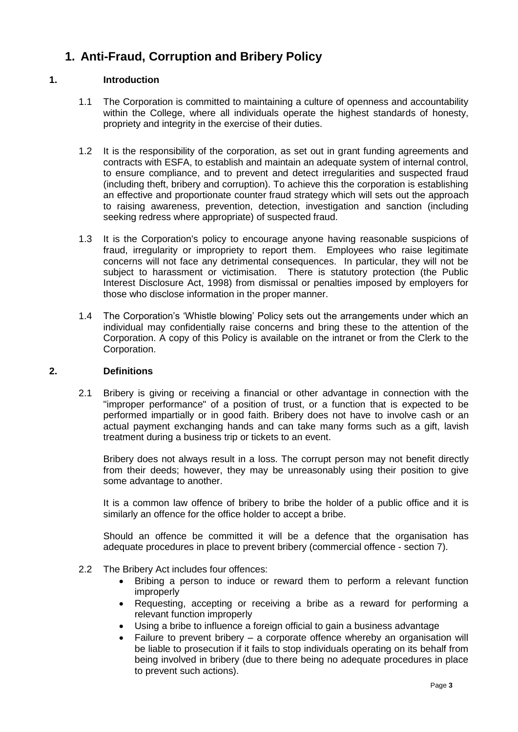# **1. Anti-Fraud, Corruption and Bribery Policy**

### **1. Introduction**

- 1.1 The Corporation is committed to maintaining a culture of openness and accountability within the College, where all individuals operate the highest standards of honesty, propriety and integrity in the exercise of their duties.
- 1.2 It is the responsibility of the corporation, as set out in grant funding agreements and contracts with ESFA, to establish and maintain an adequate system of internal control, to ensure compliance, and to prevent and detect irregularities and suspected fraud (including theft, bribery and corruption). To achieve this the corporation is establishing an effective and proportionate counter fraud strategy which will sets out the approach to raising awareness, prevention, detection, investigation and sanction (including seeking redress where appropriate) of suspected fraud.
- 1.3 It is the Corporation's policy to encourage anyone having reasonable suspicions of fraud, irregularity or impropriety to report them. Employees who raise legitimate concerns will not face any detrimental consequences. In particular, they will not be subject to harassment or victimisation. There is statutory protection (the Public Interest Disclosure Act, 1998) from dismissal or penalties imposed by employers for those who disclose information in the proper manner.
- 1.4 The Corporation's 'Whistle blowing' Policy sets out the arrangements under which an individual may confidentially raise concerns and bring these to the attention of the Corporation. A copy of this Policy is available on the intranet or from the Clerk to the Corporation.

#### **2. Definitions**

2.1 Bribery is giving or receiving a financial or other advantage in connection with the "improper performance" of a position of trust, or a function that is expected to be performed impartially or in good faith. Bribery does not have to involve cash or an actual payment exchanging hands and can take many forms such as a gift, lavish treatment during a business trip or tickets to an event.

Bribery does not always result in a loss. The corrupt person may not benefit directly from their deeds; however, they may be unreasonably using their position to give some advantage to another.

It is a common law offence of bribery to bribe the holder of a public office and it is similarly an offence for the office holder to accept a bribe.

Should an offence be committed it will be a defence that the organisation has adequate procedures in place to prevent bribery (commercial offence - section 7).

- 2.2 The Bribery Act includes four offences:
	- Bribing a person to induce or reward them to perform a relevant function improperly
	- Requesting, accepting or receiving a bribe as a reward for performing a relevant function improperly
	- Using a bribe to influence a foreign official to gain a business advantage
	- Failure to prevent bribery a corporate offence whereby an organisation will be liable to prosecution if it fails to stop individuals operating on its behalf from being involved in bribery (due to there being no adequate procedures in place to prevent such actions).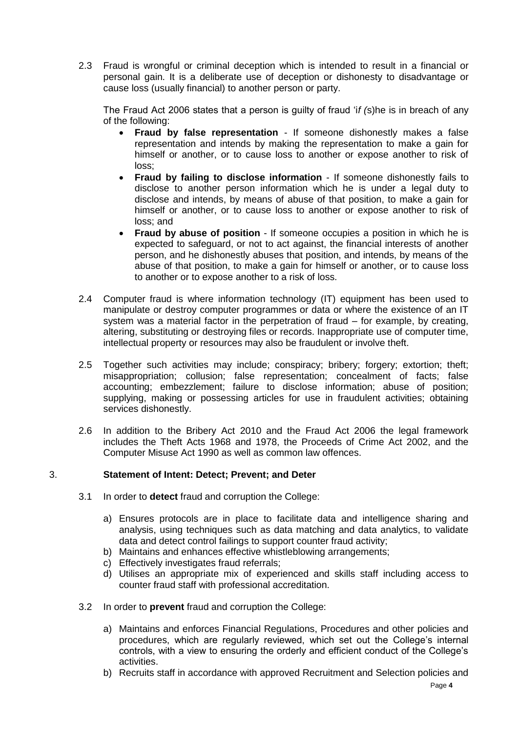2.3 Fraud is wrongful or criminal deception which is intended to result in a financial or personal gain. It is a deliberate use of deception or dishonesty to disadvantage or cause loss (usually financial) to another person or party.

The Fraud Act 2006 states that a person is guilty of fraud 'i*f (*s)he is in breach of any of the following:

- **Fraud by false representation** If someone dishonestly makes a false representation and intends by making the representation to make a gain for himself or another, or to cause loss to another or expose another to risk of loss;
- **Fraud by failing to disclose information** If someone dishonestly fails to disclose to another person information which he is under a legal duty to disclose and intends, by means of abuse of that position, to make a gain for himself or another, or to cause loss to another or expose another to risk of loss; and
- **Fraud by abuse of position** If someone occupies a position in which he is expected to safeguard, or not to act against, the financial interests of another person, and he dishonestly abuses that position, and intends, by means of the abuse of that position, to make a gain for himself or another, or to cause loss to another or to expose another to a risk of loss.
- 2.4 Computer fraud is where information technology (IT) equipment has been used to manipulate or destroy computer programmes or data or where the existence of an IT system was a material factor in the perpetration of fraud – for example, by creating, altering, substituting or destroying files or records. Inappropriate use of computer time, intellectual property or resources may also be fraudulent or involve theft.
- 2.5 Together such activities may include; conspiracy; bribery; forgery; extortion; theft; misappropriation; collusion; false representation; concealment of facts; false accounting; embezzlement; failure to disclose information; abuse of position; supplying, making or possessing articles for use in fraudulent activities; obtaining services dishonestly.
- 2.6 In addition to the Bribery Act 2010 and the Fraud Act 2006 the legal framework includes the Theft Acts 1968 and 1978, the Proceeds of Crime Act 2002, and the Computer Misuse Act 1990 as well as common law offences.

### 3. **Statement of Intent: Detect; Prevent; and Deter**

- 3.1 In order to **detect** fraud and corruption the College:
	- a) Ensures protocols are in place to facilitate data and intelligence sharing and analysis, using techniques such as data matching and data analytics, to validate data and detect control failings to support counter fraud activity;
	- b) Maintains and enhances effective whistleblowing arrangements;
	- c) Effectively investigates fraud referrals;
	- d) Utilises an appropriate mix of experienced and skills staff including access to counter fraud staff with professional accreditation.
- 3.2 In order to **prevent** fraud and corruption the College:
	- a) Maintains and enforces Financial Regulations, Procedures and other policies and procedures, which are regularly reviewed, which set out the College's internal controls, with a view to ensuring the orderly and efficient conduct of the College's activities.
	- b) Recruits staff in accordance with approved Recruitment and Selection policies and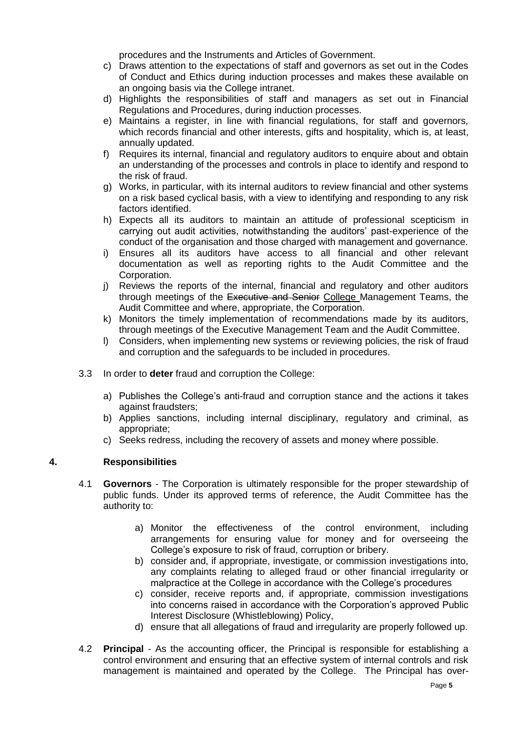procedures and the Instruments and Articles of Government.

- c) Draws attention to the expectations of staff and governors as set out in the Codes of Conduct and Ethics during induction processes and makes these available on an ongoing basis via the College intranet.
- d) Highlights the responsibilities of staff and managers as set out in Financial Regulations and Procedures, during induction processes.
- e) Maintains a register, in line with financial regulations, for staff and governors, which records financial and other interests, gifts and hospitality, which is, at least, annually updated.
- f) Requires its internal, financial and regulatory auditors to enquire about and obtain an understanding of the processes and controls in place to identify and respond to the risk of fraud.
- g) Works, in particular, with its internal auditors to review financial and other systems on a risk based cyclical basis, with a view to identifying and responding to any risk factors identified.
- h) Expects all its auditors to maintain an attitude of professional scepticism in carrying out audit activities, notwithstanding the auditors' past-experience of the conduct of the organisation and those charged with management and governance.
- i) Ensures all its auditors have access to all financial and other relevant documentation as well as reporting rights to the Audit Committee and the Corporation.
- j) Reviews the reports of the internal, financial and regulatory and other auditors through meetings of the Executive and Senior College Management Teams, the Audit Committee and where, appropriate, the Corporation.
- k) Monitors the timely implementation of recommendations made by its auditors, through meetings of the Executive Management Team and the Audit Committee.
- l) Considers, when implementing new systems or reviewing policies, the risk of fraud and corruption and the safeguards to be included in procedures.
- 3.3 In order to **deter** fraud and corruption the College:
	- a) Publishes the College's anti-fraud and corruption stance and the actions it takes against fraudsters;
	- b) Applies sanctions, including internal disciplinary, regulatory and criminal, as appropriate;
	- c) Seeks redress, including the recovery of assets and money where possible.

### **4. Responsibilities**

- 4.1 **Governors** The Corporation is ultimately responsible for the proper stewardship of public funds. Under its approved terms of reference, the Audit Committee has the authority to:
	- a) Monitor the effectiveness of the control environment, including arrangements for ensuring value for money and for overseeing the College's exposure to risk of fraud, corruption or bribery.
	- b) consider and, if appropriate, investigate, or commission investigations into, any complaints relating to alleged fraud or other financial irregularity or malpractice at the College in accordance with the College's procedures
	- c) consider, receive reports and, if appropriate, commission investigations into concerns raised in accordance with the Corporation's approved Public Interest Disclosure (Whistleblowing) Policy,
	- d) ensure that all allegations of fraud and irregularity are properly followed up.
- 4.2 **Principal**  As the accounting officer, the Principal is responsible for establishing a control environment and ensuring that an effective system of internal controls and risk management is maintained and operated by the College. The Principal has over-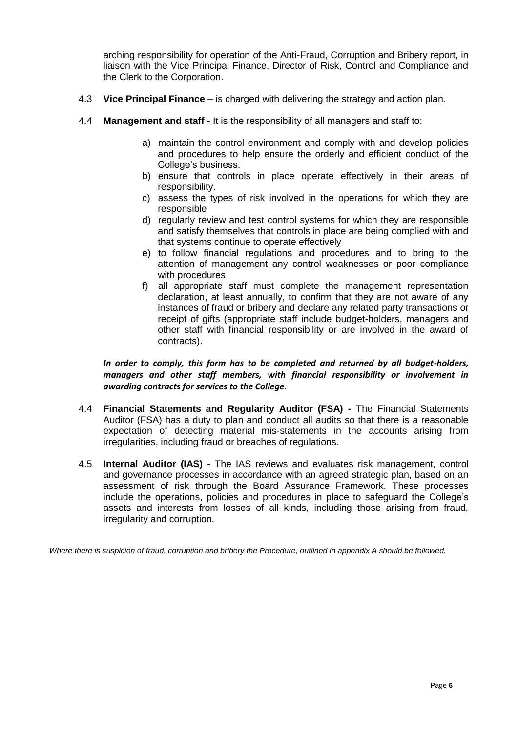arching responsibility for operation of the Anti-Fraud, Corruption and Bribery report, in liaison with the Vice Principal Finance, Director of Risk, Control and Compliance and the Clerk to the Corporation.

- 4.3 **Vice Principal Finance**  is charged with delivering the strategy and action plan.
- 4.4 **Management and staff -** It is the responsibility of all managers and staff to:
	- a) maintain the control environment and comply with and develop policies and procedures to help ensure the orderly and efficient conduct of the College's business.
	- b) ensure that controls in place operate effectively in their areas of responsibility.
	- c) assess the types of risk involved in the operations for which they are responsible
	- d) regularly review and test control systems for which they are responsible and satisfy themselves that controls in place are being complied with and that systems continue to operate effectively
	- e) to follow financial regulations and procedures and to bring to the attention of management any control weaknesses or poor compliance with procedures
	- f) all appropriate staff must complete the management representation declaration, at least annually, to confirm that they are not aware of any instances of fraud or bribery and declare any related party transactions or receipt of gifts (appropriate staff include budget-holders, managers and other staff with financial responsibility or are involved in the award of contracts).

*In order to comply, this form has to be completed and returned by all budget-holders, managers and other staff members, with financial responsibility or involvement in awarding contracts for services to the College.* 

- 4.4 **Financial Statements and Regularity Auditor (FSA) -** The Financial Statements Auditor (FSA) has a duty to plan and conduct all audits so that there is a reasonable expectation of detecting material mis-statements in the accounts arising from irregularities, including fraud or breaches of regulations.
- 4.5 **Internal Auditor (IAS) -** The IAS reviews and evaluates risk management, control and governance processes in accordance with an agreed strategic plan, based on an assessment of risk through the Board Assurance Framework. These processes include the operations, policies and procedures in place to safeguard the College's assets and interests from losses of all kinds, including those arising from fraud, irregularity and corruption.

*Where there is suspicion of fraud, corruption and bribery the Procedure, outlined in appendix A should be followed.*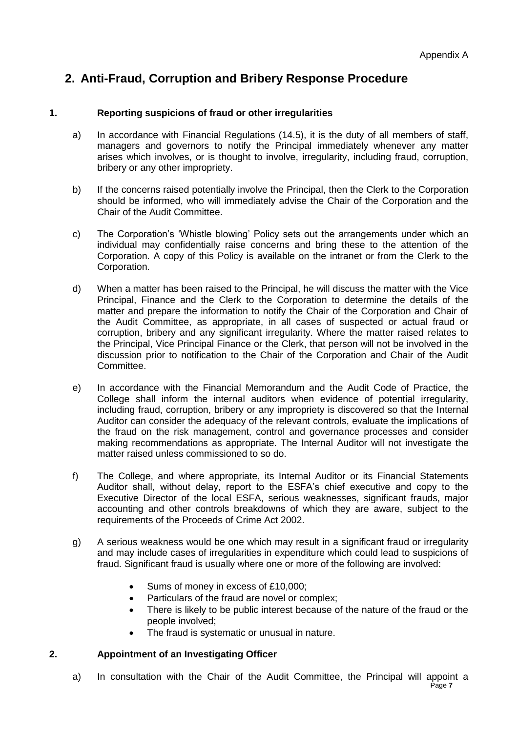# **2. Anti-Fraud, Corruption and Bribery Response Procedure**

### **1. Reporting suspicions of fraud or other irregularities**

- a) In accordance with Financial Regulations (14.5), it is the duty of all members of staff, managers and governors to notify the Principal immediately whenever any matter arises which involves, or is thought to involve, irregularity, including fraud, corruption, bribery or any other impropriety.
- b) If the concerns raised potentially involve the Principal, then the Clerk to the Corporation should be informed, who will immediately advise the Chair of the Corporation and the Chair of the Audit Committee.
- c) The Corporation's 'Whistle blowing' Policy sets out the arrangements under which an individual may confidentially raise concerns and bring these to the attention of the Corporation. A copy of this Policy is available on the intranet or from the Clerk to the Corporation.
- d) When a matter has been raised to the Principal, he will discuss the matter with the Vice Principal, Finance and the Clerk to the Corporation to determine the details of the matter and prepare the information to notify the Chair of the Corporation and Chair of the Audit Committee, as appropriate, in all cases of suspected or actual fraud or corruption, bribery and any significant irregularity. Where the matter raised relates to the Principal, Vice Principal Finance or the Clerk, that person will not be involved in the discussion prior to notification to the Chair of the Corporation and Chair of the Audit Committee.
- e) In accordance with the Financial Memorandum and the Audit Code of Practice, the College shall inform the internal auditors when evidence of potential irregularity, including fraud, corruption, bribery or any impropriety is discovered so that the Internal Auditor can consider the adequacy of the relevant controls, evaluate the implications of the fraud on the risk management, control and governance processes and consider making recommendations as appropriate. The Internal Auditor will not investigate the matter raised unless commissioned to so do.
- f) The College, and where appropriate, its Internal Auditor or its Financial Statements Auditor shall, without delay, report to the ESFA's chief executive and copy to the Executive Director of the local ESFA, serious weaknesses, significant frauds, major accounting and other controls breakdowns of which they are aware, subject to the requirements of the Proceeds of Crime Act 2002.
- g) A serious weakness would be one which may result in a significant fraud or irregularity and may include cases of irregularities in expenditure which could lead to suspicions of fraud. Significant fraud is usually where one or more of the following are involved:
	- Sums of money in excess of £10,000;
	- Particulars of the fraud are novel or complex;
	- There is likely to be public interest because of the nature of the fraud or the people involved;
	- The fraud is systematic or unusual in nature.

### **2. Appointment of an Investigating Officer**

a) In consultation with the Chair of the Audit Committee, the Principal will appoint a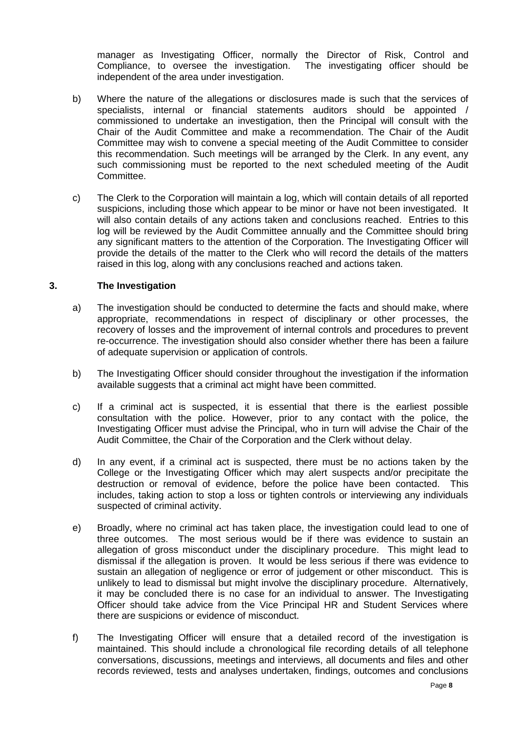manager as Investigating Officer, normally the Director of Risk, Control and Compliance, to oversee the investigation. The investigating officer should be independent of the area under investigation.

- b) Where the nature of the allegations or disclosures made is such that the services of specialists, internal or financial statements auditors should be appointed / commissioned to undertake an investigation, then the Principal will consult with the Chair of the Audit Committee and make a recommendation. The Chair of the Audit Committee may wish to convene a special meeting of the Audit Committee to consider this recommendation. Such meetings will be arranged by the Clerk. In any event, any such commissioning must be reported to the next scheduled meeting of the Audit Committee.
- c) The Clerk to the Corporation will maintain a log, which will contain details of all reported suspicions, including those which appear to be minor or have not been investigated. It will also contain details of any actions taken and conclusions reached. Entries to this log will be reviewed by the Audit Committee annually and the Committee should bring any significant matters to the attention of the Corporation. The Investigating Officer will provide the details of the matter to the Clerk who will record the details of the matters raised in this log, along with any conclusions reached and actions taken.

#### **3. The Investigation**

- a) The investigation should be conducted to determine the facts and should make, where appropriate, recommendations in respect of disciplinary or other processes, the recovery of losses and the improvement of internal controls and procedures to prevent re-occurrence. The investigation should also consider whether there has been a failure of adequate supervision or application of controls.
- b) The Investigating Officer should consider throughout the investigation if the information available suggests that a criminal act might have been committed.
- c) If a criminal act is suspected, it is essential that there is the earliest possible consultation with the police. However, prior to any contact with the police, the Investigating Officer must advise the Principal, who in turn will advise the Chair of the Audit Committee, the Chair of the Corporation and the Clerk without delay.
- d) In any event, if a criminal act is suspected, there must be no actions taken by the College or the Investigating Officer which may alert suspects and/or precipitate the destruction or removal of evidence, before the police have been contacted. This includes, taking action to stop a loss or tighten controls or interviewing any individuals suspected of criminal activity.
- e) Broadly, where no criminal act has taken place, the investigation could lead to one of three outcomes. The most serious would be if there was evidence to sustain an allegation of gross misconduct under the disciplinary procedure. This might lead to dismissal if the allegation is proven. It would be less serious if there was evidence to sustain an allegation of negligence or error of judgement or other misconduct. This is unlikely to lead to dismissal but might involve the disciplinary procedure. Alternatively, it may be concluded there is no case for an individual to answer. The Investigating Officer should take advice from the Vice Principal HR and Student Services where there are suspicions or evidence of misconduct.
- f) The Investigating Officer will ensure that a detailed record of the investigation is maintained. This should include a chronological file recording details of all telephone conversations, discussions, meetings and interviews, all documents and files and other records reviewed, tests and analyses undertaken, findings, outcomes and conclusions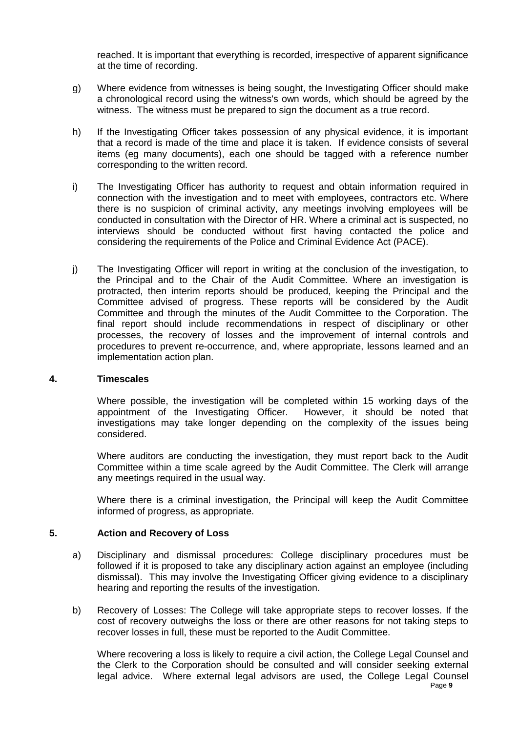reached. It is important that everything is recorded, irrespective of apparent significance at the time of recording.

- g) Where evidence from witnesses is being sought, the Investigating Officer should make a chronological record using the witness's own words, which should be agreed by the witness. The witness must be prepared to sign the document as a true record.
- h) If the Investigating Officer takes possession of any physical evidence, it is important that a record is made of the time and place it is taken. If evidence consists of several items (eg many documents), each one should be tagged with a reference number corresponding to the written record.
- i) The Investigating Officer has authority to request and obtain information required in connection with the investigation and to meet with employees, contractors etc. Where there is no suspicion of criminal activity, any meetings involving employees will be conducted in consultation with the Director of HR. Where a criminal act is suspected, no interviews should be conducted without first having contacted the police and considering the requirements of the Police and Criminal Evidence Act (PACE).
- j) The Investigating Officer will report in writing at the conclusion of the investigation, to the Principal and to the Chair of the Audit Committee. Where an investigation is protracted, then interim reports should be produced, keeping the Principal and the Committee advised of progress. These reports will be considered by the Audit Committee and through the minutes of the Audit Committee to the Corporation. The final report should include recommendations in respect of disciplinary or other processes, the recovery of losses and the improvement of internal controls and procedures to prevent re-occurrence, and, where appropriate, lessons learned and an implementation action plan.

#### **4. Timescales**

Where possible, the investigation will be completed within 15 working days of the appointment of the Investigating Officer. However, it should be noted that investigations may take longer depending on the complexity of the issues being considered.

Where auditors are conducting the investigation, they must report back to the Audit Committee within a time scale agreed by the Audit Committee. The Clerk will arrange any meetings required in the usual way.

Where there is a criminal investigation, the Principal will keep the Audit Committee informed of progress, as appropriate.

### **5. Action and Recovery of Loss**

- a) Disciplinary and dismissal procedures: College disciplinary procedures must be followed if it is proposed to take any disciplinary action against an employee (including dismissal). This may involve the Investigating Officer giving evidence to a disciplinary hearing and reporting the results of the investigation.
- b) Recovery of Losses: The College will take appropriate steps to recover losses. If the cost of recovery outweighs the loss or there are other reasons for not taking steps to recover losses in full, these must be reported to the Audit Committee.

Page **9** Where recovering a loss is likely to require a civil action, the College Legal Counsel and the Clerk to the Corporation should be consulted and will consider seeking external legal advice. Where external legal advisors are used, the College Legal Counsel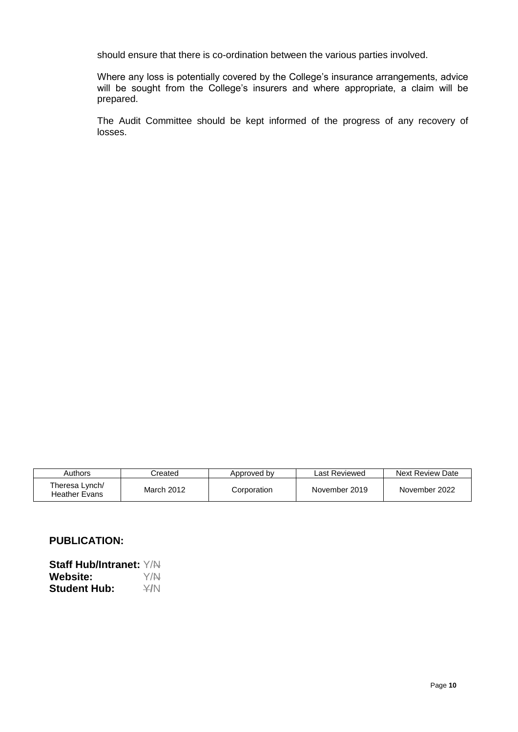should ensure that there is co-ordination between the various parties involved.

Where any loss is potentially covered by the College's insurance arrangements, advice will be sought from the College's insurers and where appropriate, a claim will be prepared.

The Audit Committee should be kept informed of the progress of any recovery of losses.

| Authors                         | Created    | Approved by | Last Reviewed | Next Review Date |
|---------------------------------|------------|-------------|---------------|------------------|
| Theresa Lynch/<br>Heather Evans | March 2012 | Corporation | November 2019 | November 2022    |

## **PUBLICATION:**

**Staff Hub/Intranet:** Y/N **Website:** Y/N **Student Hub:**  $\angle$ *Y*/N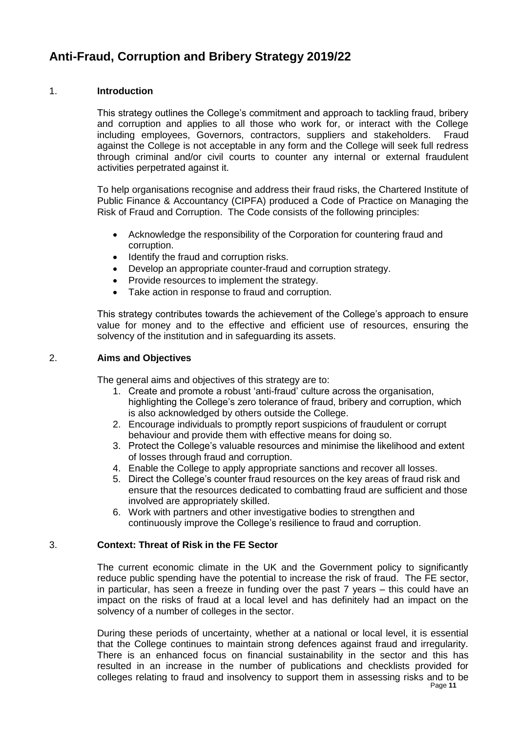# **Anti-Fraud, Corruption and Bribery Strategy 2019/22**

## 1. **Introduction**

This strategy outlines the College's commitment and approach to tackling fraud, bribery and corruption and applies to all those who work for, or interact with the College including employees, Governors, contractors, suppliers and stakeholders. Fraud against the College is not acceptable in any form and the College will seek full redress through criminal and/or civil courts to counter any internal or external fraudulent activities perpetrated against it.

To help organisations recognise and address their fraud risks, the Chartered Institute of Public Finance & Accountancy (CIPFA) produced a Code of Practice on Managing the Risk of Fraud and Corruption. The Code consists of the following principles:

- Acknowledge the responsibility of the Corporation for countering fraud and corruption.
- Identify the fraud and corruption risks.
- Develop an appropriate counter-fraud and corruption strategy.
- Provide resources to implement the strategy.
- Take action in response to fraud and corruption.

This strategy contributes towards the achievement of the College's approach to ensure value for money and to the effective and efficient use of resources, ensuring the solvency of the institution and in safeguarding its assets.

## 2. **Aims and Objectives**

The general aims and objectives of this strategy are to:

- 1. Create and promote a robust 'anti-fraud' culture across the organisation, highlighting the College's zero tolerance of fraud, bribery and corruption, which is also acknowledged by others outside the College.
- 2. Encourage individuals to promptly report suspicions of fraudulent or corrupt behaviour and provide them with effective means for doing so.
- 3. Protect the College's valuable resources and minimise the likelihood and extent of losses through fraud and corruption.
- 4. Enable the College to apply appropriate sanctions and recover all losses.
- 5. Direct the College's counter fraud resources on the key areas of fraud risk and ensure that the resources dedicated to combatting fraud are sufficient and those involved are appropriately skilled.
- 6. Work with partners and other investigative bodies to strengthen and continuously improve the College's resilience to fraud and corruption.

## 3. **Context: Threat of Risk in the FE Sector**

The current economic climate in the UK and the Government policy to significantly reduce public spending have the potential to increase the risk of fraud. The FE sector, in particular, has seen a freeze in funding over the past 7 years – this could have an impact on the risks of fraud at a local level and has definitely had an impact on the solvency of a number of colleges in the sector.

During these periods of uncertainty, whether at a national or local level, it is essential that the College continues to maintain strong defences against fraud and irregularity. There is an enhanced focus on financial sustainability in the sector and this has resulted in an increase in the number of publications and checklists provided for colleges relating to fraud and insolvency to support them in assessing risks and to be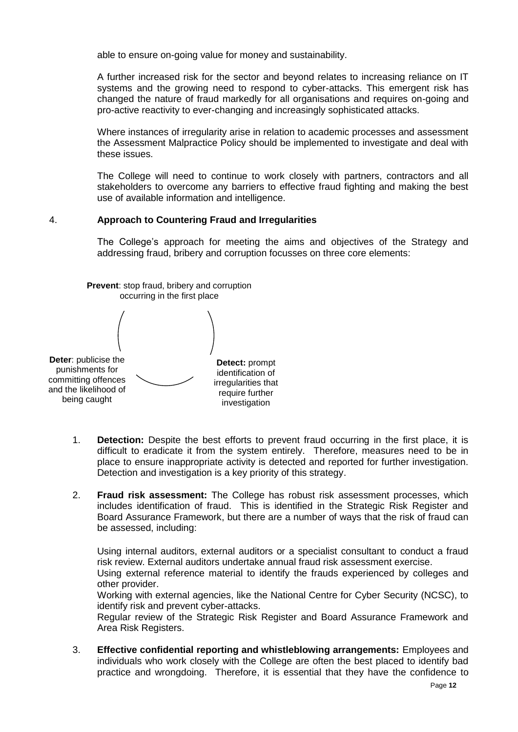able to ensure on-going value for money and sustainability.

A further increased risk for the sector and beyond relates to increasing reliance on IT systems and the growing need to respond to cyber-attacks. This emergent risk has changed the nature of fraud markedly for all organisations and requires on-going and pro-active reactivity to ever-changing and increasingly sophisticated attacks.

Where instances of irregularity arise in relation to academic processes and assessment the Assessment Malpractice Policy should be implemented to investigate and deal with these issues.

The College will need to continue to work closely with partners, contractors and all stakeholders to overcome any barriers to effective fraud fighting and making the best use of available information and intelligence.

### 4. **Approach to Countering Fraud and Irregularities**

The College's approach for meeting the aims and objectives of the Strategy and addressing fraud, bribery and corruption focusses on three core elements:



- 1. **Detection:** Despite the best efforts to prevent fraud occurring in the first place, it is difficult to eradicate it from the system entirely. Therefore, measures need to be in place to ensure inappropriate activity is detected and reported for further investigation. Detection and investigation is a key priority of this strategy.
- 2. **Fraud risk assessment:** The College has robust risk assessment processes, which includes identification of fraud. This is identified in the Strategic Risk Register and Board Assurance Framework, but there are a number of ways that the risk of fraud can be assessed, including:

Using internal auditors, external auditors or a specialist consultant to conduct a fraud risk review. External auditors undertake annual fraud risk assessment exercise.

Using external reference material to identify the frauds experienced by colleges and other provider.

Working with external agencies, like the National Centre for Cyber Security (NCSC), to identify risk and prevent cyber-attacks.

Regular review of the Strategic Risk Register and Board Assurance Framework and Area Risk Registers.

3. **Effective confidential reporting and whistleblowing arrangements:** Employees and individuals who work closely with the College are often the best placed to identify bad practice and wrongdoing. Therefore, it is essential that they have the confidence to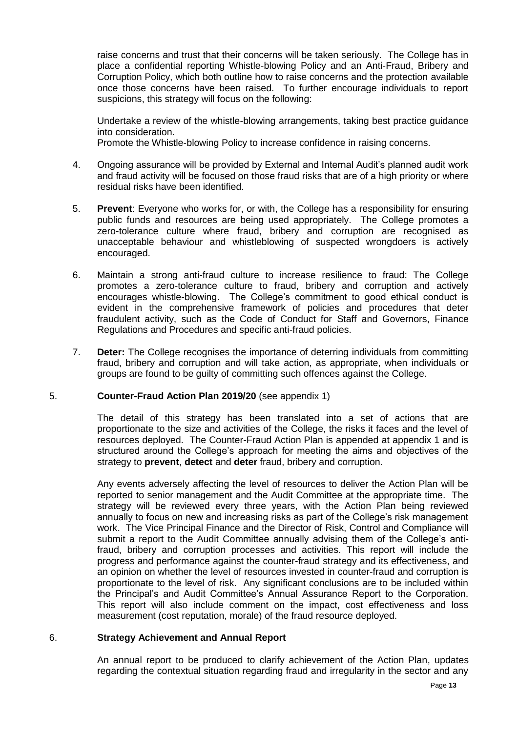raise concerns and trust that their concerns will be taken seriously. The College has in place a confidential reporting Whistle-blowing Policy and an Anti-Fraud, Bribery and Corruption Policy, which both outline how to raise concerns and the protection available once those concerns have been raised. To further encourage individuals to report suspicions, this strategy will focus on the following:

Undertake a review of the whistle-blowing arrangements, taking best practice guidance into consideration.

Promote the Whistle-blowing Policy to increase confidence in raising concerns.

- 4. Ongoing assurance will be provided by External and Internal Audit's planned audit work and fraud activity will be focused on those fraud risks that are of a high priority or where residual risks have been identified.
- 5. **Prevent**: Everyone who works for, or with, the College has a responsibility for ensuring public funds and resources are being used appropriately. The College promotes a zero-tolerance culture where fraud, bribery and corruption are recognised as unacceptable behaviour and whistleblowing of suspected wrongdoers is actively encouraged.
- 6. Maintain a strong anti-fraud culture to increase resilience to fraud: The College promotes a zero-tolerance culture to fraud, bribery and corruption and actively encourages whistle-blowing. The College's commitment to good ethical conduct is evident in the comprehensive framework of policies and procedures that deter fraudulent activity, such as the Code of Conduct for Staff and Governors, Finance Regulations and Procedures and specific anti-fraud policies.
- 7. **Deter:** The College recognises the importance of deterring individuals from committing fraud, bribery and corruption and will take action, as appropriate, when individuals or groups are found to be guilty of committing such offences against the College.

### 5. **Counter-Fraud Action Plan 2019/20** (see appendix 1)

The detail of this strategy has been translated into a set of actions that are proportionate to the size and activities of the College, the risks it faces and the level of resources deployed. The Counter-Fraud Action Plan is appended at appendix 1 and is structured around the College's approach for meeting the aims and objectives of the strategy to **prevent**, **detect** and **deter** fraud, bribery and corruption.

Any events adversely affecting the level of resources to deliver the Action Plan will be reported to senior management and the Audit Committee at the appropriate time. The strategy will be reviewed every three years, with the Action Plan being reviewed annually to focus on new and increasing risks as part of the College's risk management work. The Vice Principal Finance and the Director of Risk, Control and Compliance will submit a report to the Audit Committee annually advising them of the College's antifraud, bribery and corruption processes and activities. This report will include the progress and performance against the counter-fraud strategy and its effectiveness, and an opinion on whether the level of resources invested in counter-fraud and corruption is proportionate to the level of risk. Any significant conclusions are to be included within the Principal's and Audit Committee's Annual Assurance Report to the Corporation. This report will also include comment on the impact, cost effectiveness and loss measurement (cost reputation, morale) of the fraud resource deployed.

### 6. **Strategy Achievement and Annual Report**

An annual report to be produced to clarify achievement of the Action Plan, updates regarding the contextual situation regarding fraud and irregularity in the sector and any